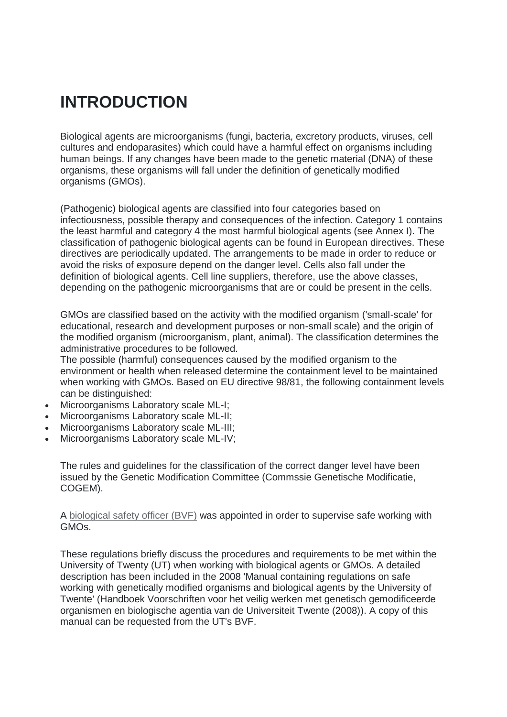# **INTRODUCTION**

Biological agents are microorganisms (fungi, bacteria, excretory products, viruses, cell cultures and endoparasites) which could have a harmful effect on organisms including human beings. If any changes have been made to the genetic material (DNA) of these organisms, these organisms will fall under the definition of genetically modified organisms (GMOs).

(Pathogenic) biological agents are classified into four categories based on infectiousness, possible therapy and consequences of the infection. Category 1 contains the least harmful and category 4 the most harmful biological agents (see Annex I). The classification of pathogenic biological agents can be found in European directives. These directives are periodically updated. The arrangements to be made in order to reduce or avoid the risks of exposure depend on the danger level. Cells also fall under the definition of biological agents. Cell line suppliers, therefore, use the above classes, depending on the pathogenic microorganisms that are or could be present in the cells.

GMOs are classified based on the activity with the modified organism ('small-scale' for educational, research and development purposes or non-small scale) and the origin of the modified organism (microorganism, plant, animal). The classification determines the administrative procedures to be followed.

The possible (harmful) consequences caused by the modified organism to the environment or health when released determine the containment level to be maintained when working with GMOs. Based on EU directive 98/81, the following containment levels can be distinguished:

- Microorganisms Laboratory scale ML-I;
- Microorganisms Laboratory scale ML-II;
- Microorganisms Laboratory scale ML-III;
- Microorganisms Laboratory scale ML-IV;

The rules and guidelines for the classification of the correct danger level have been issued by the Genetic Modification Committee (Commssie Genetische Modificatie, COGEM).

A [biological safety officer \(BVF\)](http://www.utwente.nl/hr/en/health-safety-environment/organization-information/organization/biological-safety-officer/) was appointed in order to supervise safe working with GMOs.

These regulations briefly discuss the procedures and requirements to be met within the University of Twenty (UT) when working with biological agents or GMOs. A detailed description has been included in the 2008 'Manual containing regulations on safe working with genetically modified organisms and biological agents by the University of Twente' (Handboek Voorschriften voor het veilig werken met genetisch gemodificeerde organismen en biologische agentia van de Universiteit Twente (2008)). A copy of this manual can be requested from the UT's BVF.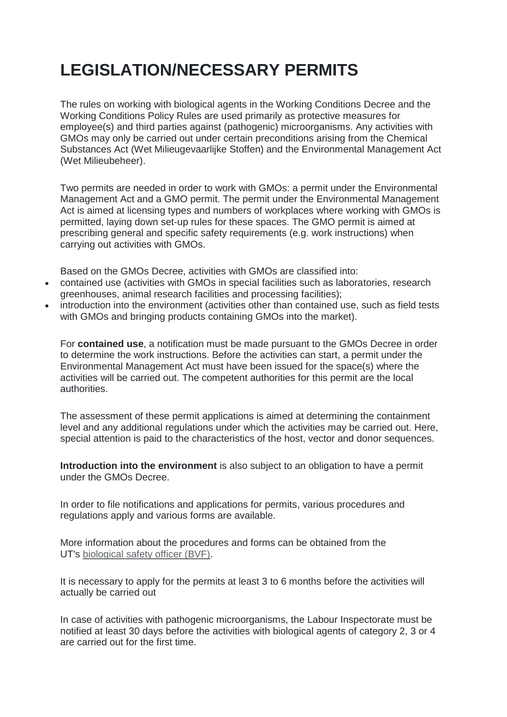# **LEGISLATION/NECESSARY PERMITS**

The rules on working with biological agents in the Working Conditions Decree and the Working Conditions Policy Rules are used primarily as protective measures for employee(s) and third parties against (pathogenic) microorganisms. Any activities with GMOs may only be carried out under certain preconditions arising from the Chemical Substances Act (Wet Milieugevaarlijke Stoffen) and the Environmental Management Act (Wet Milieubeheer).

Two permits are needed in order to work with GMOs: a permit under the Environmental Management Act and a GMO permit. The permit under the Environmental Management Act is aimed at licensing types and numbers of workplaces where working with GMOs is permitted, laying down set-up rules for these spaces. The GMO permit is aimed at prescribing general and specific safety requirements (e.g. work instructions) when carrying out activities with GMOs.

Based on the GMOs Decree, activities with GMOs are classified into:

- contained use (activities with GMOs in special facilities such as laboratories, research greenhouses, animal research facilities and processing facilities);
- introduction into the environment (activities other than contained use, such as field tests with GMOs and bringing products containing GMOs into the market).

For **contained use**, a notification must be made pursuant to the GMOs Decree in order to determine the work instructions. Before the activities can start, a permit under the Environmental Management Act must have been issued for the space(s) where the activities will be carried out. The competent authorities for this permit are the local authorities.

The assessment of these permit applications is aimed at determining the containment level and any additional regulations under which the activities may be carried out. Here, special attention is paid to the characteristics of the host, vector and donor sequences.

**Introduction into the environment** is also subject to an obligation to have a permit under the GMOs Decree.

In order to file notifications and applications for permits, various procedures and regulations apply and various forms are available.

More information about the procedures and forms can be obtained from the UT's [biological safety officer \(BVF\).](http://www.utwente.nl/hr/en/health-safety-environment/organization-information/organization/biological-safety-officer/)

It is necessary to apply for the permits at least 3 to 6 months before the activities will actually be carried out

In case of activities with pathogenic microorganisms, the Labour Inspectorate must be notified at least 30 days before the activities with biological agents of category 2, 3 or 4 are carried out for the first time.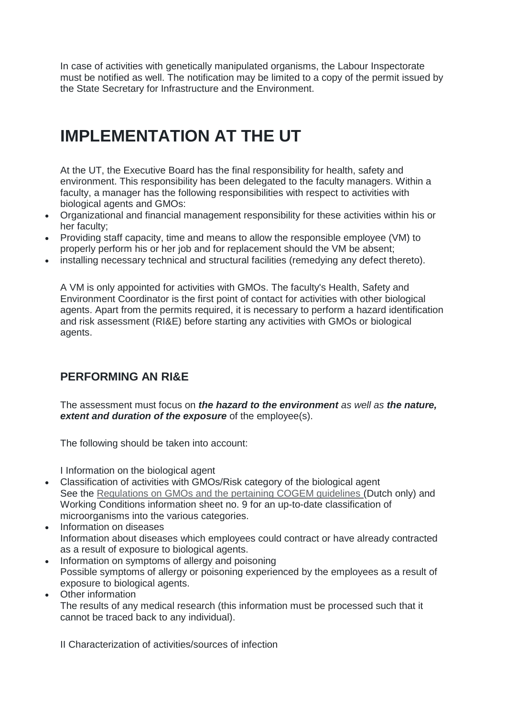In case of activities with genetically manipulated organisms, the Labour Inspectorate must be notified as well. The notification may be limited to a copy of the permit issued by the State Secretary for Infrastructure and the Environment.

# **IMPLEMENTATION AT THE UT**

At the UT, the Executive Board has the final responsibility for health, safety and environment. This responsibility has been delegated to the faculty managers. Within a faculty, a manager has the following responsibilities with respect to activities with biological agents and GMOs:

- Organizational and financial management responsibility for these activities within his or her faculty;
- Providing staff capacity, time and means to allow the responsible employee (VM) to properly perform his or her job and for replacement should the VM be absent;
- installing necessary technical and structural facilities (remedying any defect thereto).

A VM is only appointed for activities with GMOs. The faculty's Health, Safety and Environment Coordinator is the first point of contact for activities with other biological agents. Apart from the permits required, it is necessary to perform a hazard identification and risk assessment (RI&E) before starting any activities with GMOs or biological agents.

# **PERFORMING AN RI&E**

The assessment must focus on *the hazard to the environment as well as the nature, extent and duration of the exposure* of the employee(s).

The following should be taken into account:

I Information on the biological agent

- Classification of activities with GMOs/Risk category of the biological agent See the [Regulations on GMOs and the pertaining COGEM guidelines](http://bggo.rivm.nl/paginas/doc-reg.htm) (Dutch only) and Working Conditions information sheet no. 9 for an up-to-date classification of microorganisms into the various categories.
- Information on diseases Information about diseases which employees could contract or have already contracted as a result of exposure to biological agents.
- Information on symptoms of allergy and poisoning Possible symptoms of allergy or poisoning experienced by the employees as a result of exposure to biological agents.
- Other information

The results of any medical research (this information must be processed such that it cannot be traced back to any individual).

II Characterization of activities/sources of infection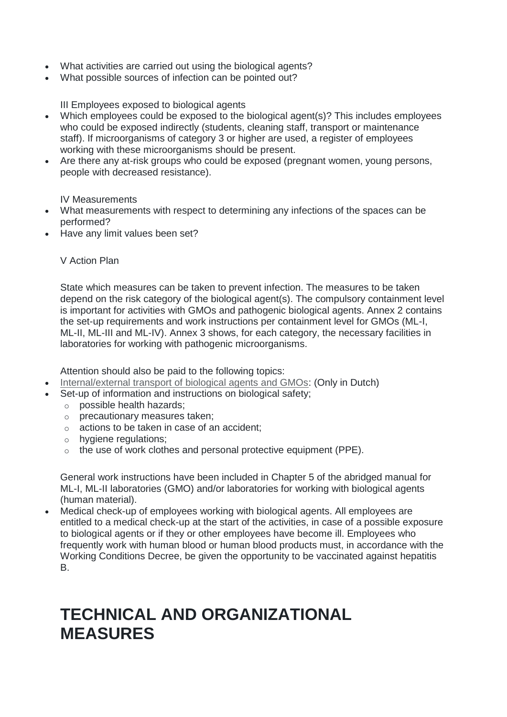- What activities are carried out using the biological agents?
- What possible sources of infection can be pointed out?

III Employees exposed to biological agents

- Which employees could be exposed to the biological agent(s)? This includes employees who could be exposed indirectly (students, cleaning staff, transport or maintenance staff). If microorganisms of category 3 or higher are used, a register of employees working with these microorganisms should be present.
- Are there any at-risk groups who could be exposed (pregnant women, young persons, people with decreased resistance).

IV Measurements

- What measurements with respect to determining any infections of the spaces can be performed?
- Have any limit values been set?

#### V Action Plan

State which measures can be taken to prevent infection. The measures to be taken depend on the risk category of the biological agent(s). The compulsory containment level is important for activities with GMOs and pathogenic biological agents. Annex 2 contains the set-up requirements and work instructions per containment level for GMOs (ML-I, ML-II, ML-III and ML-IV). Annex 3 shows, for each category, the necessary facilities in laboratories for working with pathogenic microorganisms.

Attention should also be paid to the following topics:

- [Internal/external transport of biological agents and GMOs:](http://www.utwente.nl/hr/vgm/veiligheid/biologische_agentia_ggo/vervoer-ggo/) (Only in Dutch)
- Set-up of information and instructions on biological safety;
	- o possible health hazards;
	- o precautionary measures taken;
	- o actions to be taken in case of an accident;
	- o hygiene regulations;
	- o the use of work clothes and personal protective equipment (PPE).

General work instructions have been included in Chapter 5 of the abridged manual for ML-I, ML-II laboratories (GMO) and/or laboratories for working with biological agents (human material).

• Medical check-up of employees working with biological agents. All employees are entitled to a medical check-up at the start of the activities, in case of a possible exposure to biological agents or if they or other employees have become ill. Employees who frequently work with human blood or human blood products must, in accordance with the Working Conditions Decree, be given the opportunity to be vaccinated against hepatitis B.

# **TECHNICAL AND ORGANIZATIONAL MEASURES**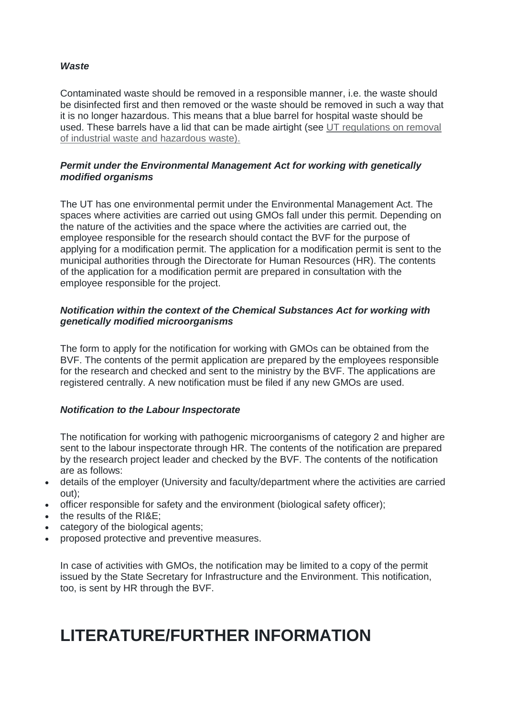#### *Waste*

Contaminated waste should be removed in a responsible manner, i.e. the waste should be disinfected first and then removed or the waste should be removed in such a way that it is no longer hazardous. This means that a blue barrel for hospital waste should be used. These barrels have a lid that can be made airtight (see [UT regulations on removal](https://www.utwente.nl/hr/en/health-safety-environment/environment/schemes-regulations/waste-management-regulation/waste_collection_system.pdf)  [of industrial waste and hazardous waste\).](https://www.utwente.nl/hr/en/health-safety-environment/environment/schemes-regulations/waste-management-regulation/waste_collection_system.pdf)

#### *Permit under the Environmental Management Act for working with genetically modified organisms*

The UT has one environmental permit under the Environmental Management Act. The spaces where activities are carried out using GMOs fall under this permit. Depending on the nature of the activities and the space where the activities are carried out, the employee responsible for the research should contact the BVF for the purpose of applying for a modification permit. The application for a modification permit is sent to the municipal authorities through the Directorate for Human Resources (HR). The contents of the application for a modification permit are prepared in consultation with the employee responsible for the project.

#### *Notification within the context of the Chemical Substances Act for working with genetically modified microorganisms*

The form to apply for the notification for working with GMOs can be obtained from the BVF. The contents of the permit application are prepared by the employees responsible for the research and checked and sent to the ministry by the BVF. The applications are registered centrally. A new notification must be filed if any new GMOs are used.

# *Notification to the Labour Inspectorate*

The notification for working with pathogenic microorganisms of category 2 and higher are sent to the labour inspectorate through HR. The contents of the notification are prepared by the research project leader and checked by the BVF. The contents of the notification are as follows:

- details of the employer (University and faculty/department where the activities are carried out);
- officer responsible for safety and the environment (biological safety officer);
- the results of the RI&E;
- category of the biological agents;
- proposed protective and preventive measures.

In case of activities with GMOs, the notification may be limited to a copy of the permit issued by the State Secretary for Infrastructure and the Environment. This notification, too, is sent by HR through the BVF.

# **LITERATURE/FURTHER INFORMATION**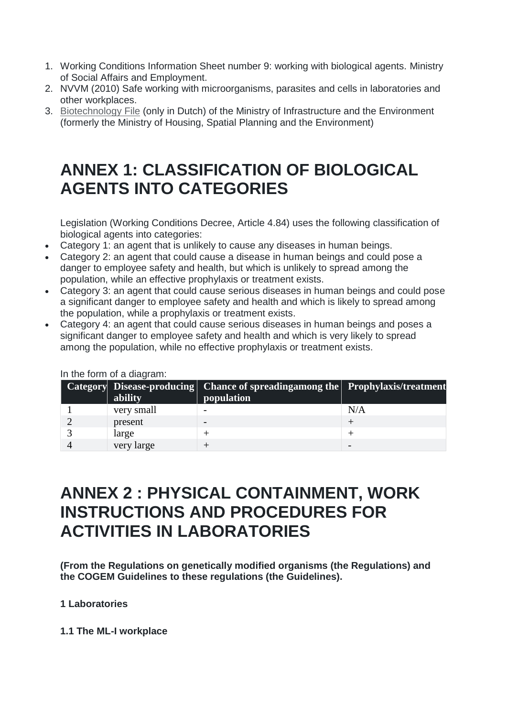- 1. Working Conditions Information Sheet number 9: working with biological agents. Ministry of Social Affairs and Employment.
- 2. NVVM (2010) Safe working with microorganisms, parasites and cells in laboratories and other workplaces.
- 3. [Biotechnology File](https://www.rijksoverheid.nl/onderwerpen/biotechnologie/vraag-en-antwoord/welke-vergunningen-zijn-er-voor-genetisch-gemodificeerde-organismen) (only in Dutch) of the Ministry of Infrastructure and the Environment (formerly the Ministry of Housing, Spatial Planning and the Environment)

# **ANNEX 1: CLASSIFICATION OF BIOLOGICAL AGENTS INTO CATEGORIES**

Legislation (Working Conditions Decree, Article 4.84) uses the following classification of biological agents into categories:

- Category 1: an agent that is unlikely to cause any diseases in human beings.
- Category 2: an agent that could cause a disease in human beings and could pose a danger to employee safety and health, but which is unlikely to spread among the population, while an effective prophylaxis or treatment exists.
- Category 3: an agent that could cause serious diseases in human beings and could pose a significant danger to employee safety and health and which is likely to spread among the population, while a prophylaxis or treatment exists.
- Category 4: an agent that could cause serious diseases in human beings and poses a significant danger to employee safety and health and which is very likely to spread among the population, while no effective prophylaxis or treatment exists.

| ability    | Category Disease-producing Chance of spreadingamong the Prophylaxis/treatment<br>population |     |
|------------|---------------------------------------------------------------------------------------------|-----|
| very small |                                                                                             | N/A |
| present    |                                                                                             |     |
| large      |                                                                                             |     |
| very large |                                                                                             |     |

In the form of a diagram:

# **ANNEX 2 : PHYSICAL CONTAINMENT, WORK INSTRUCTIONS AND PROCEDURES FOR ACTIVITIES IN LABORATORIES**

**(From the Regulations on genetically modified organisms (the Regulations) and the COGEM Guidelines to these regulations (the Guidelines).**

# **1 Laboratories**

**1.1 The ML-I workplace**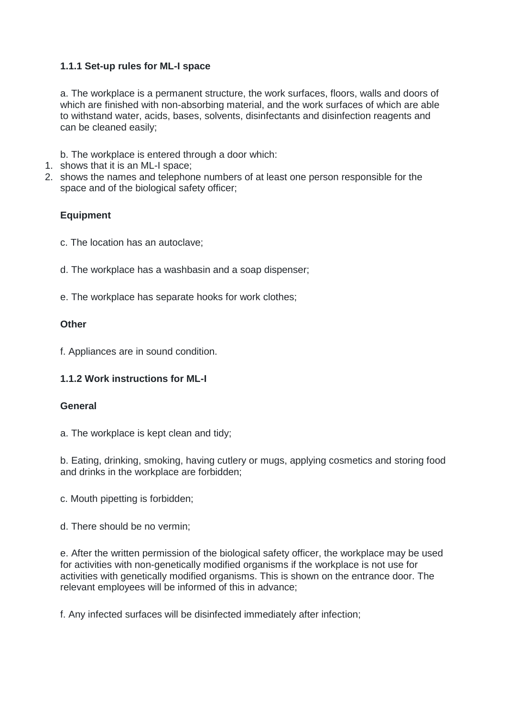# **1.1.1 Set-up rules for ML-I space**

a. The workplace is a permanent structure, the work surfaces, floors, walls and doors of which are finished with non-absorbing material, and the work surfaces of which are able to withstand water, acids, bases, solvents, disinfectants and disinfection reagents and can be cleaned easily;

b. The workplace is entered through a door which:

- 1. shows that it is an ML-I space;
- 2. shows the names and telephone numbers of at least one person responsible for the space and of the biological safety officer;

# **Equipment**

- c. The location has an autoclave;
- d. The workplace has a washbasin and a soap dispenser;
- e. The workplace has separate hooks for work clothes;

# **Other**

f. Appliances are in sound condition.

# **1.1.2 Work instructions for ML-I**

#### **General**

a. The workplace is kept clean and tidy;

b. Eating, drinking, smoking, having cutlery or mugs, applying cosmetics and storing food and drinks in the workplace are forbidden;

- c. Mouth pipetting is forbidden;
- d. There should be no vermin;

e. After the written permission of the biological safety officer, the workplace may be used for activities with non-genetically modified organisms if the workplace is not use for activities with genetically modified organisms. This is shown on the entrance door. The relevant employees will be informed of this in advance;

f. Any infected surfaces will be disinfected immediately after infection;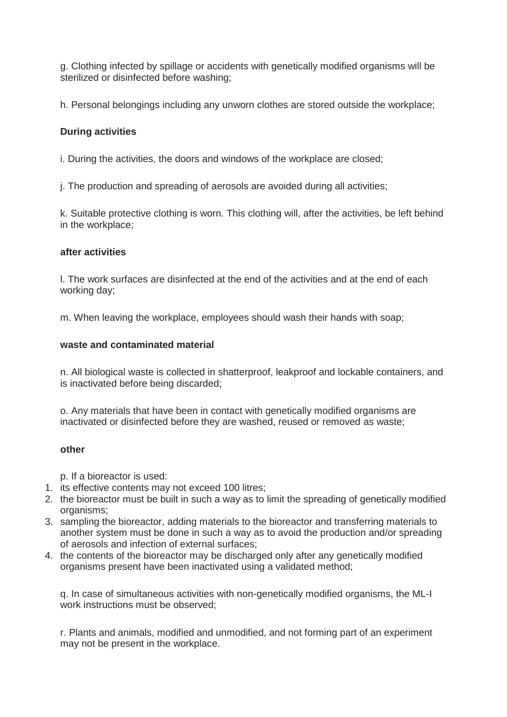g. Clothing infected by spillage or accidents with genetically modified organisms will be sterilized or disinfected before washing;

h. Personal belongings including any unworn clothes are stored outside the workplace;

# **During activities**

i. During the activities, the doors and windows of the workplace are closed;

j. The production and spreading of aerosols are avoided during all activities;

k. Suitable protective clothing is worn. This clothing will, after the activities, be left behind in the workplace;

#### **after activities**

l. The work surfaces are disinfected at the end of the activities and at the end of each working day;

m. When leaving the workplace, employees should wash their hands with soap;

#### **waste and contaminated material**

n. All biological waste is collected in shatterproof, leakproof and lockable containers, and is inactivated before being discarded;

o. Any materials that have been in contact with genetically modified organisms are inactivated or disinfected before they are washed, reused or removed as waste;

#### **other**

p. If a bioreactor is used:

- 1. its effective contents may not exceed 100 litres;
- 2. the bioreactor must be built in such a way as to limit the spreading of genetically modified organisms;
- 3. sampling the bioreactor, adding materials to the bioreactor and transferring materials to another system must be done in such a way as to avoid the production and/or spreading of aerosols and infection of external surfaces;
- 4. the contents of the bioreactor may be discharged only after any genetically modified organisms present have been inactivated using a validated method;

q. In case of simultaneous activities with non-genetically modified organisms, the ML-I work instructions must be observed;

r. Plants and animals, modified and unmodified, and not forming part of an experiment may not be present in the workplace.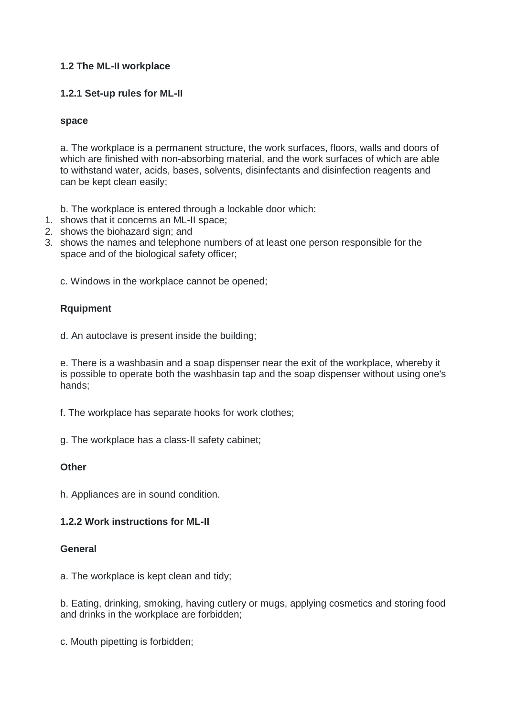# **1.2 The ML-II workplace**

# **1.2.1 Set-up rules for ML-II**

#### **space**

a. The workplace is a permanent structure, the work surfaces, floors, walls and doors of which are finished with non-absorbing material, and the work surfaces of which are able to withstand water, acids, bases, solvents, disinfectants and disinfection reagents and can be kept clean easily;

b. The workplace is entered through a lockable door which:

- 1. shows that it concerns an ML-II space;
- 2. shows the biohazard sign; and
- 3. shows the names and telephone numbers of at least one person responsible for the space and of the biological safety officer;

c. Windows in the workplace cannot be opened;

# **Rquipment**

d. An autoclave is present inside the building;

e. There is a washbasin and a soap dispenser near the exit of the workplace, whereby it is possible to operate both the washbasin tap and the soap dispenser without using one's hands;

f. The workplace has separate hooks for work clothes;

g. The workplace has a class-II safety cabinet;

#### **Other**

h. Appliances are in sound condition.

#### **1.2.2 Work instructions for ML-II**

#### **General**

a. The workplace is kept clean and tidy;

b. Eating, drinking, smoking, having cutlery or mugs, applying cosmetics and storing food and drinks in the workplace are forbidden;

c. Mouth pipetting is forbidden;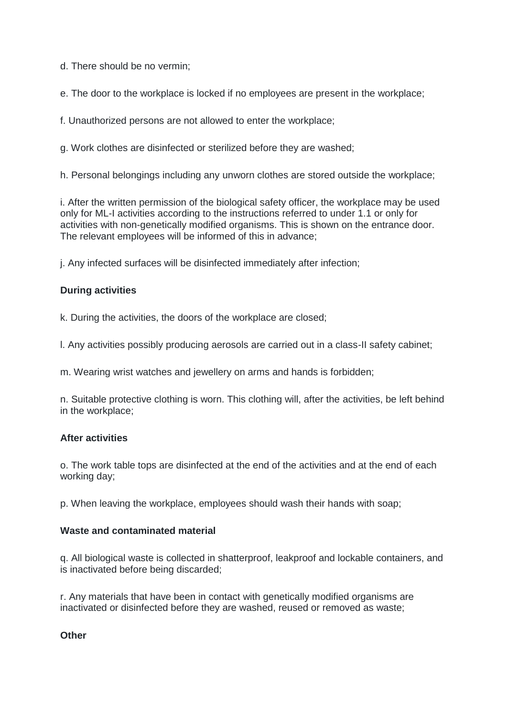d. There should be no vermin;

e. The door to the workplace is locked if no employees are present in the workplace;

f. Unauthorized persons are not allowed to enter the workplace;

g. Work clothes are disinfected or sterilized before they are washed;

h. Personal belongings including any unworn clothes are stored outside the workplace;

i. After the written permission of the biological safety officer, the workplace may be used only for ML-I activities according to the instructions referred to under 1.1 or only for activities with non-genetically modified organisms. This is shown on the entrance door. The relevant employees will be informed of this in advance;

j. Any infected surfaces will be disinfected immediately after infection;

# **During activities**

k. During the activities, the doors of the workplace are closed;

l. Any activities possibly producing aerosols are carried out in a class-II safety cabinet;

m. Wearing wrist watches and jewellery on arms and hands is forbidden;

n. Suitable protective clothing is worn. This clothing will, after the activities, be left behind in the workplace;

# **After activities**

o. The work table tops are disinfected at the end of the activities and at the end of each working day;

p. When leaving the workplace, employees should wash their hands with soap;

# **Waste and contaminated material**

q. All biological waste is collected in shatterproof, leakproof and lockable containers, and is inactivated before being discarded;

r. Any materials that have been in contact with genetically modified organisms are inactivated or disinfected before they are washed, reused or removed as waste;

# **Other**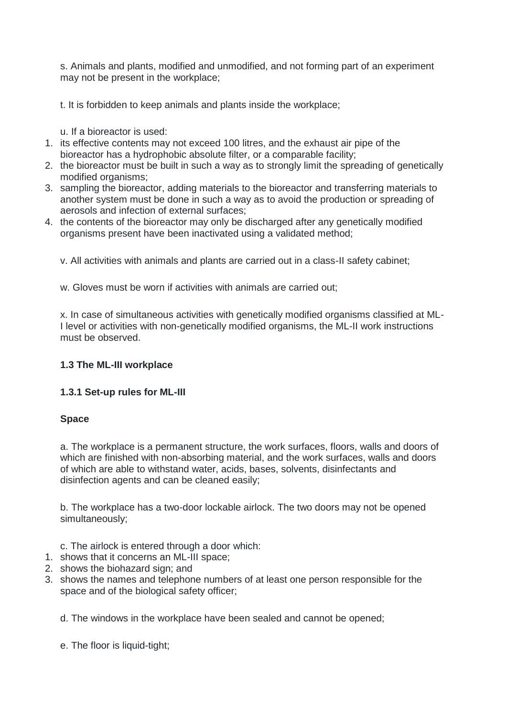s. Animals and plants, modified and unmodified, and not forming part of an experiment may not be present in the workplace;

t. It is forbidden to keep animals and plants inside the workplace;

- u. If a bioreactor is used:
- 1. its effective contents may not exceed 100 litres, and the exhaust air pipe of the bioreactor has a hydrophobic absolute filter, or a comparable facility;
- 2. the bioreactor must be built in such a way as to strongly limit the spreading of genetically modified organisms;
- 3. sampling the bioreactor, adding materials to the bioreactor and transferring materials to another system must be done in such a way as to avoid the production or spreading of aerosols and infection of external surfaces;
- 4. the contents of the bioreactor may only be discharged after any genetically modified organisms present have been inactivated using a validated method;
	- v. All activities with animals and plants are carried out in a class-II safety cabinet;

w. Gloves must be worn if activities with animals are carried out;

x. In case of simultaneous activities with genetically modified organisms classified at ML-I level or activities with non-genetically modified organisms, the ML-II work instructions must be observed.

# **1.3 The ML-III workplace**

# **1.3.1 Set-up rules for ML-III**

# **Space**

a. The workplace is a permanent structure, the work surfaces, floors, walls and doors of which are finished with non-absorbing material, and the work surfaces, walls and doors of which are able to withstand water, acids, bases, solvents, disinfectants and disinfection agents and can be cleaned easily;

b. The workplace has a two-door lockable airlock. The two doors may not be opened simultaneously;

c. The airlock is entered through a door which:

- 1. shows that it concerns an ML-III space;
- 2. shows the biohazard sign; and
- 3. shows the names and telephone numbers of at least one person responsible for the space and of the biological safety officer;

d. The windows in the workplace have been sealed and cannot be opened;

e. The floor is liquid-tight;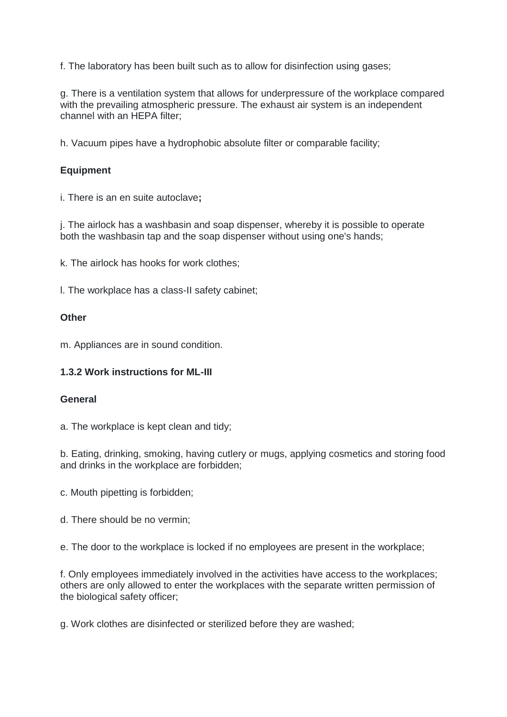f. The laboratory has been built such as to allow for disinfection using gases;

g. There is a ventilation system that allows for underpressure of the workplace compared with the prevailing atmospheric pressure. The exhaust air system is an independent channel with an HEPA filter;

h. Vacuum pipes have a hydrophobic absolute filter or comparable facility;

# **Equipment**

i. There is an en suite autoclave**;**

j. The airlock has a washbasin and soap dispenser, whereby it is possible to operate both the washbasin tap and the soap dispenser without using one's hands;

k. The airlock has hooks for work clothes;

l. The workplace has a class-II safety cabinet;

#### **Other**

m. Appliances are in sound condition.

# **1.3.2 Work instructions for ML-III**

#### **General**

a. The workplace is kept clean and tidy;

b. Eating, drinking, smoking, having cutlery or mugs, applying cosmetics and storing food and drinks in the workplace are forbidden;

- c. Mouth pipetting is forbidden;
- d. There should be no vermin;

e. The door to the workplace is locked if no employees are present in the workplace;

f. Only employees immediately involved in the activities have access to the workplaces; others are only allowed to enter the workplaces with the separate written permission of the biological safety officer;

g. Work clothes are disinfected or sterilized before they are washed;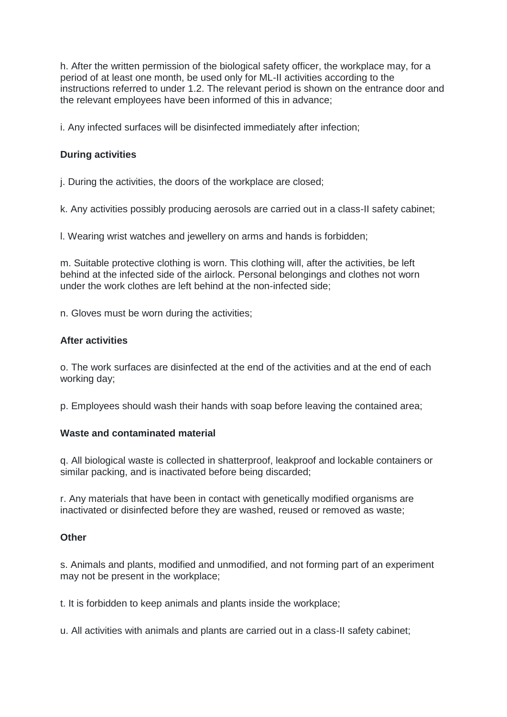h. After the written permission of the biological safety officer, the workplace may, for a period of at least one month, be used only for ML-II activities according to the instructions referred to under 1.2. The relevant period is shown on the entrance door and the relevant employees have been informed of this in advance;

i. Any infected surfaces will be disinfected immediately after infection;

# **During activities**

j. During the activities, the doors of the workplace are closed;

k. Any activities possibly producing aerosols are carried out in a class-II safety cabinet;

l. Wearing wrist watches and jewellery on arms and hands is forbidden;

m. Suitable protective clothing is worn. This clothing will, after the activities, be left behind at the infected side of the airlock. Personal belongings and clothes not worn under the work clothes are left behind at the non-infected side;

n. Gloves must be worn during the activities;

#### **After activities**

o. The work surfaces are disinfected at the end of the activities and at the end of each working day;

p. Employees should wash their hands with soap before leaving the contained area;

# **Waste and contaminated material**

q. All biological waste is collected in shatterproof, leakproof and lockable containers or similar packing, and is inactivated before being discarded;

r. Any materials that have been in contact with genetically modified organisms are inactivated or disinfected before they are washed, reused or removed as waste;

#### **Other**

s. Animals and plants, modified and unmodified, and not forming part of an experiment may not be present in the workplace;

t. It is forbidden to keep animals and plants inside the workplace;

u. All activities with animals and plants are carried out in a class-II safety cabinet;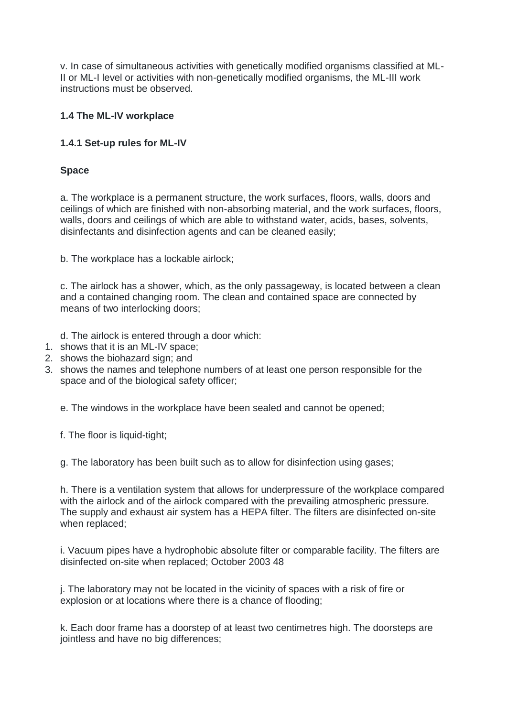v. In case of simultaneous activities with genetically modified organisms classified at ML-II or ML-I level or activities with non-genetically modified organisms, the ML-III work instructions must be observed.

# **1.4 The ML-IV workplace**

# **1.4.1 Set-up rules for ML-IV**

# **Space**

a. The workplace is a permanent structure, the work surfaces, floors, walls, doors and ceilings of which are finished with non-absorbing material, and the work surfaces, floors, walls, doors and ceilings of which are able to withstand water, acids, bases, solvents, disinfectants and disinfection agents and can be cleaned easily;

b. The workplace has a lockable airlock;

c. The airlock has a shower, which, as the only passageway, is located between a clean and a contained changing room. The clean and contained space are connected by means of two interlocking doors;

d. The airlock is entered through a door which:

- 1. shows that it is an ML-IV space;
- 2. shows the biohazard sign; and
- 3. shows the names and telephone numbers of at least one person responsible for the space and of the biological safety officer;

e. The windows in the workplace have been sealed and cannot be opened;

f. The floor is liquid-tight;

g. The laboratory has been built such as to allow for disinfection using gases;

h. There is a ventilation system that allows for underpressure of the workplace compared with the airlock and of the airlock compared with the prevailing atmospheric pressure. The supply and exhaust air system has a HEPA filter. The filters are disinfected on-site when replaced;

i. Vacuum pipes have a hydrophobic absolute filter or comparable facility. The filters are disinfected on-site when replaced; October 2003 48

j. The laboratory may not be located in the vicinity of spaces with a risk of fire or explosion or at locations where there is a chance of flooding;

k. Each door frame has a doorstep of at least two centimetres high. The doorsteps are jointless and have no big differences;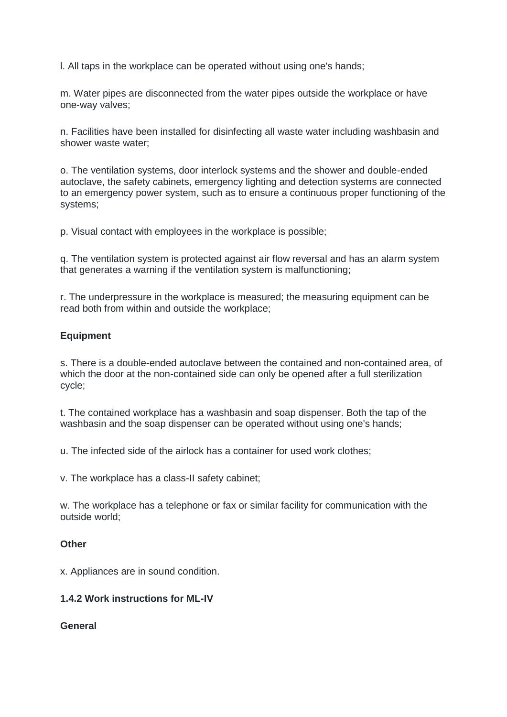l. All taps in the workplace can be operated without using one's hands;

m. Water pipes are disconnected from the water pipes outside the workplace or have one-way valves;

n. Facilities have been installed for disinfecting all waste water including washbasin and shower waste water;

o. The ventilation systems, door interlock systems and the shower and double-ended autoclave, the safety cabinets, emergency lighting and detection systems are connected to an emergency power system, such as to ensure a continuous proper functioning of the systems;

p. Visual contact with employees in the workplace is possible;

q. The ventilation system is protected against air flow reversal and has an alarm system that generates a warning if the ventilation system is malfunctioning;

r. The underpressure in the workplace is measured; the measuring equipment can be read both from within and outside the workplace;

#### **Equipment**

s. There is a double-ended autoclave between the contained and non-contained area, of which the door at the non-contained side can only be opened after a full sterilization cycle;

t. The contained workplace has a washbasin and soap dispenser. Both the tap of the washbasin and the soap dispenser can be operated without using one's hands;

u. The infected side of the airlock has a container for used work clothes;

v. The workplace has a class-II safety cabinet;

w. The workplace has a telephone or fax or similar facility for communication with the outside world;

#### **Other**

x. Appliances are in sound condition.

#### **1.4.2 Work instructions for ML-IV**

#### **General**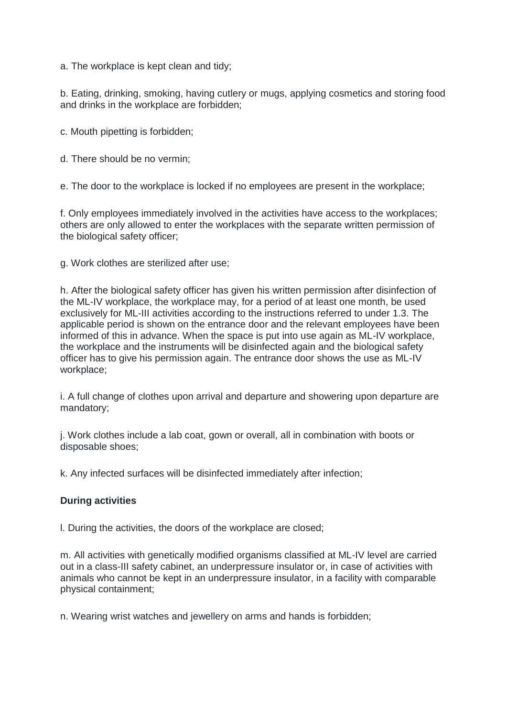a. The workplace is kept clean and tidy;

b. Eating, drinking, smoking, having cutlery or mugs, applying cosmetics and storing food and drinks in the workplace are forbidden;

c. Mouth pipetting is forbidden;

d. There should be no vermin;

e. The door to the workplace is locked if no employees are present in the workplace;

f. Only employees immediately involved in the activities have access to the workplaces; others are only allowed to enter the workplaces with the separate written permission of the biological safety officer;

g. Work clothes are sterilized after use;

h. After the biological safety officer has given his written permission after disinfection of the ML-IV workplace, the workplace may, for a period of at least one month, be used exclusively for ML-III activities according to the instructions referred to under 1.3. The applicable period is shown on the entrance door and the relevant employees have been informed of this in advance. When the space is put into use again as ML-IV workplace, the workplace and the instruments will be disinfected again and the biological safety officer has to give his permission again. The entrance door shows the use as ML-IV workplace;

i. A full change of clothes upon arrival and departure and showering upon departure are mandatory;

j. Work clothes include a lab coat, gown or overall, all in combination with boots or disposable shoes;

k. Any infected surfaces will be disinfected immediately after infection;

#### **During activities**

l. During the activities, the doors of the workplace are closed;

m. All activities with genetically modified organisms classified at ML-IV level are carried out in a class-III safety cabinet, an underpressure insulator or, in case of activities with animals who cannot be kept in an underpressure insulator, in a facility with comparable physical containment;

n. Wearing wrist watches and jewellery on arms and hands is forbidden;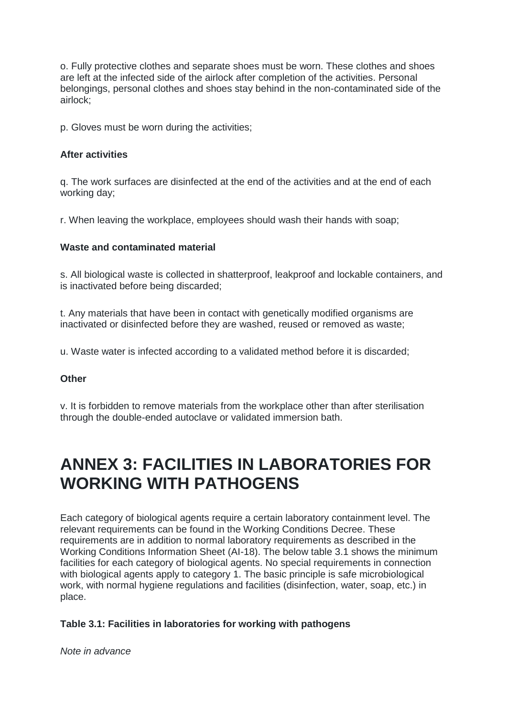o. Fully protective clothes and separate shoes must be worn. These clothes and shoes are left at the infected side of the airlock after completion of the activities. Personal belongings, personal clothes and shoes stay behind in the non-contaminated side of the airlock;

p. Gloves must be worn during the activities;

#### **After activities**

q. The work surfaces are disinfected at the end of the activities and at the end of each working day;

r. When leaving the workplace, employees should wash their hands with soap;

#### **Waste and contaminated material**

s. All biological waste is collected in shatterproof, leakproof and lockable containers, and is inactivated before being discarded;

t. Any materials that have been in contact with genetically modified organisms are inactivated or disinfected before they are washed, reused or removed as waste;

u. Waste water is infected according to a validated method before it is discarded;

# **Other**

v. It is forbidden to remove materials from the workplace other than after sterilisation through the double-ended autoclave or validated immersion bath.

# **ANNEX 3: FACILITIES IN LABORATORIES FOR WORKING WITH PATHOGENS**

Each category of biological agents require a certain laboratory containment level. The relevant requirements can be found in the Working Conditions Decree. These requirements are in addition to normal laboratory requirements as described in the Working Conditions Information Sheet (AI-18). The below table 3.1 shows the minimum facilities for each category of biological agents. No special requirements in connection with biological agents apply to category 1. The basic principle is safe microbiological work, with normal hygiene regulations and facilities (disinfection, water, soap, etc.) in place.

# **Table 3.1: Facilities in laboratories for working with pathogens**

*Note in advance*